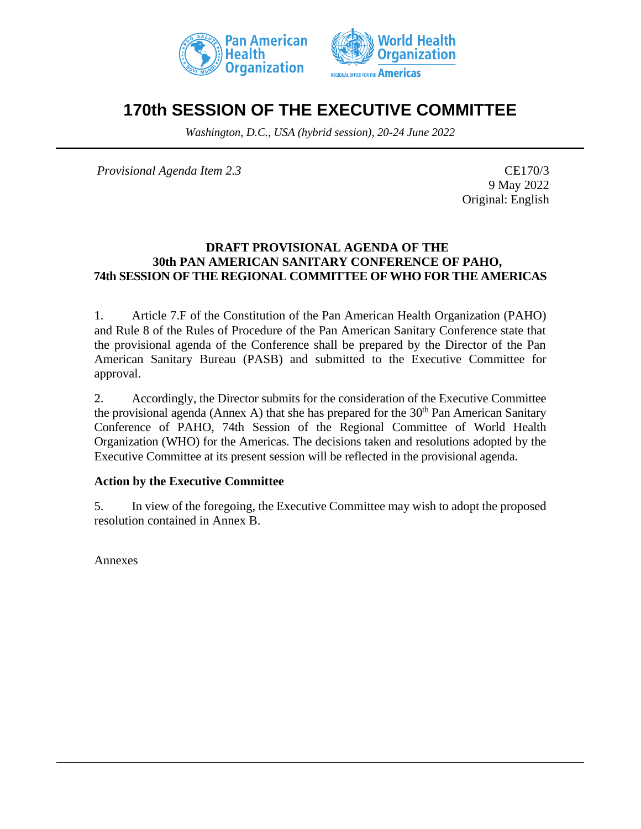



# **170th SESSION OF THE EXECUTIVE COMMITTEE**

*Washington, D.C., USA (hybrid session), 20-24 June 2022*

*Provisional Agenda Item 2.3* CE170/3

9 May 2022 Original: English

### **DRAFT PROVISIONAL AGENDA OF THE 30th PAN AMERICAN SANITARY CONFERENCE OF PAHO, 74th SESSION OF THE REGIONAL COMMITTEE OF WHO FOR THE AMERICAS**

1. Article 7.F of the Constitution of the Pan American Health Organization (PAHO) and Rule 8 of the Rules of Procedure of the Pan American Sanitary Conference state that the provisional agenda of the Conference shall be prepared by the Director of the Pan American Sanitary Bureau (PASB) and submitted to the Executive Committee for approval.

2. Accordingly, the Director submits for the consideration of the Executive Committee the provisional agenda (Annex A) that she has prepared for the  $30<sup>th</sup>$  Pan American Sanitary Conference of PAHO, 74th Session of the Regional Committee of World Health Organization (WHO) for the Americas. The decisions taken and resolutions adopted by the Executive Committee at its present session will be reflected in the provisional agenda.

### **Action by the Executive Committee**

5. In view of the foregoing, the Executive Committee may wish to adopt the proposed resolution contained in Annex B.

Annexes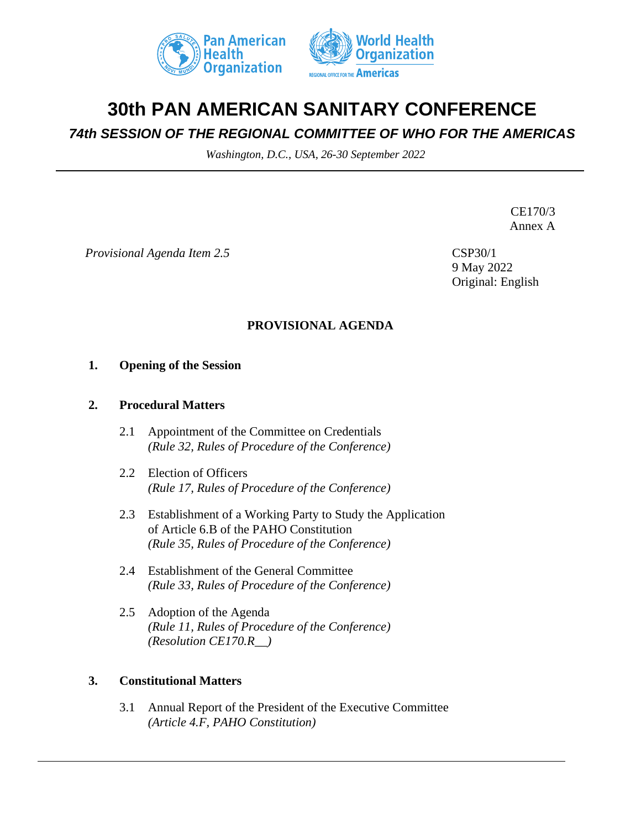



# **30th PAN AMERICAN SANITARY CONFERENCE**

# *74th SESSION OF THE REGIONAL COMMITTEE OF WHO FOR THE AMERICAS*

*Washington, D.C., USA, 26-30 September 2022*

CE170/3 Annex A

*Provisional Agenda Item 2.5* CSP30/1

9 May 2022 Original: English

# **PROVISIONAL AGENDA**

### **1. Opening of the Session**

#### **2. Procedural Matters**

- 2.1 Appointment of the Committee on Credentials *(Rule 32, Rules of Procedure of the Conference)*
- 2.2 Election of Officers *(Rule 17, Rules of Procedure of the Conference)*
- 2.3 Establishment of a Working Party to Study the Application of Article 6.B of the PAHO Constitution *(Rule 35, Rules of Procedure of the Conference)*
- 2.4 Establishment of the General Committee *(Rule 33, Rules of Procedure of the Conference)*
- 2.5 Adoption of the Agenda *(Rule 11, Rules of Procedure of the Conference) (Resolution CE170.R\_\_)*

### **3. Constitutional Matters**

3.1 Annual Report of the President of the Executive Committee *(Article 4.F, PAHO Constitution)*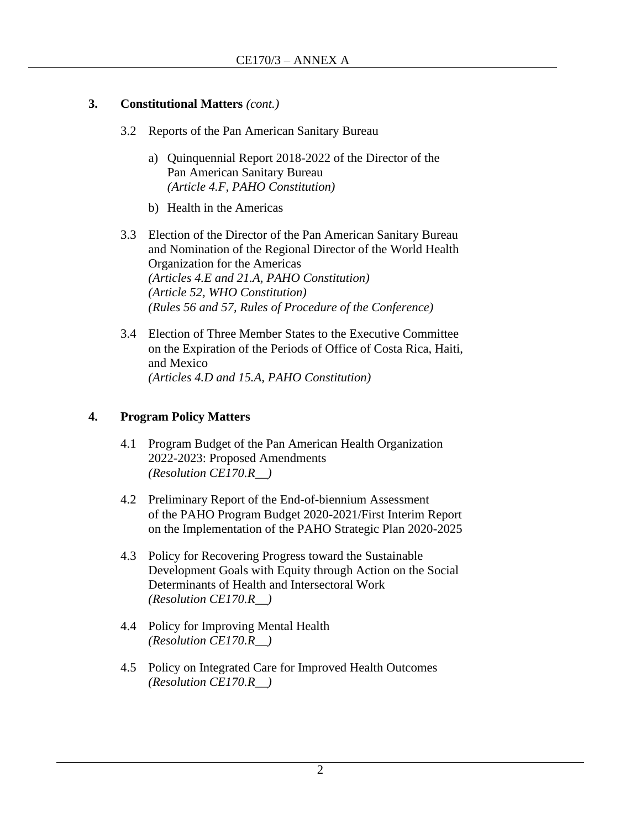# **3. Constitutional Matters** *(cont.)*

- 3.2 Reports of the Pan American Sanitary Bureau
	- a) Quinquennial Report 2018-2022 of the Director of the Pan American Sanitary Bureau *(Article 4.F, PAHO Constitution)*
	- b) Health in the Americas
- 3.3 Election of the Director of the Pan American Sanitary Bureau and Nomination of the Regional Director of the World Health Organization for the Americas *(Articles 4.E and 21.A, PAHO Constitution) (Article 52, WHO Constitution) (Rules 56 and 57, Rules of Procedure of the Conference)*
- 3.4 Election of Three Member States to the Executive Committee on the Expiration of the Periods of Office of Costa Rica, Haiti, and Mexico *(Articles 4.D and 15.A, PAHO Constitution)*

# **4. Program Policy Matters**

- 4.1 Program Budget of the Pan American Health Organization 2022-2023: Proposed Amendments *(Resolution CE170.R\_\_)*
- 4.2 Preliminary Report of the End-of-biennium Assessment of the PAHO Program Budget 2020-2021/First Interim Report on the Implementation of the PAHO Strategic Plan 2020-2025
- 4.3 Policy for Recovering Progress toward the Sustainable Development Goals with Equity through Action on the Social Determinants of Health and Intersectoral Work *(Resolution CE170.R\_\_)*
- 4.4 Policy for Improving Mental Health *(Resolution CE170.R\_\_)*
- 4.5 Policy on Integrated Care for Improved Health Outcomes *(Resolution CE170.R\_\_)*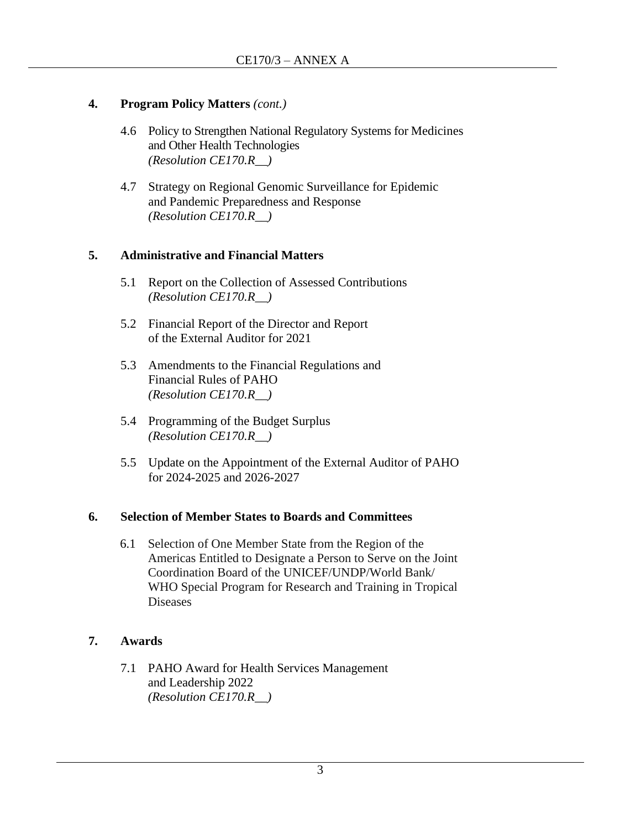# **4. Program Policy Matters** *(cont.)*

- 4.6 Policy to Strengthen National Regulatory Systems for Medicines and Other Health Technologies *(Resolution CE170.R\_\_)*
- 4.7 Strategy on Regional Genomic Surveillance for Epidemic and Pandemic Preparedness and Response *(Resolution CE170.R\_\_)*

## **5. Administrative and Financial Matters**

- 5.1 Report on the Collection of Assessed Contributions *(Resolution CE170.R\_\_)*
- 5.2 Financial Report of the Director and Report of the External Auditor for 2021
- 5.3 Amendments to the Financial Regulations and Financial Rules of PAHO *(Resolution CE170.R\_\_)*
- 5.4 Programming of the Budget Surplus *(Resolution CE170.R\_\_)*
- 5.5 Update on the Appointment of the External Auditor of PAHO for 2024-2025 and 2026-2027

### **6. Selection of Member States to Boards and Committees**

6.1 Selection of One Member State from the Region of the Americas Entitled to Designate a Person to Serve on the Joint Coordination Board of the UNICEF/UNDP/World Bank/ WHO Special Program for Research and Training in Tropical Diseases

# **7. Awards**

7.1 PAHO Award for Health Services Management and Leadership 2022 *(Resolution CE170.R\_\_)*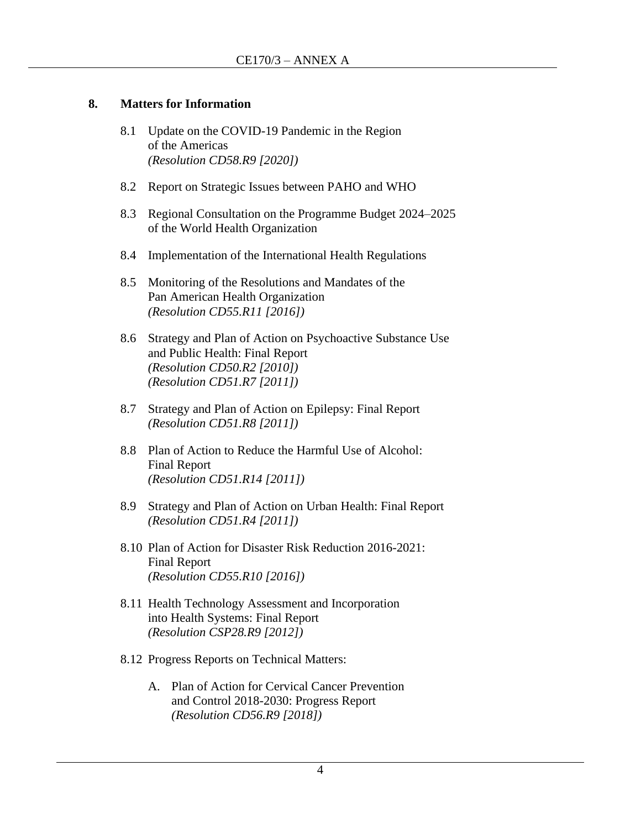### **8. Matters for Information**

- 8.1 Update on the COVID-19 Pandemic in the Region of the Americas *(Resolution CD58.R9 [2020])*
- 8.2 Report on Strategic Issues between PAHO and WHO
- 8.3 Regional Consultation on the Programme Budget 2024–2025 of the World Health Organization
- 8.4 Implementation of the International Health Regulations
- 8.5 Monitoring of the Resolutions and Mandates of the Pan American Health Organization *(Resolution CD55.R11 [2016])*
- 8.6 Strategy and Plan of Action on Psychoactive Substance Use and Public Health: Final Report *(Resolution CD50.R2 [2010]) (Resolution CD51.R7 [2011])*
- 8.7 Strategy and Plan of Action on Epilepsy: Final Report *(Resolution CD51.R8 [2011])*
- 8.8 Plan of Action to Reduce the Harmful Use of Alcohol: Final Report *(Resolution CD51.R14 [2011])*
- 8.9 Strategy and Plan of Action on Urban Health: Final Report *(Resolution CD51.R4 [2011])*
- 8.10 Plan of Action for Disaster Risk Reduction 2016-2021: Final Report *(Resolution CD55.R10 [2016])*
- 8.11 Health Technology Assessment and Incorporation into Health Systems: Final Report *(Resolution CSP28.R9 [2012])*
- 8.12 Progress Reports on Technical Matters:
	- A. Plan of Action for Cervical Cancer Prevention and Control 2018-2030: Progress Report *(Resolution CD56.R9 [2018])*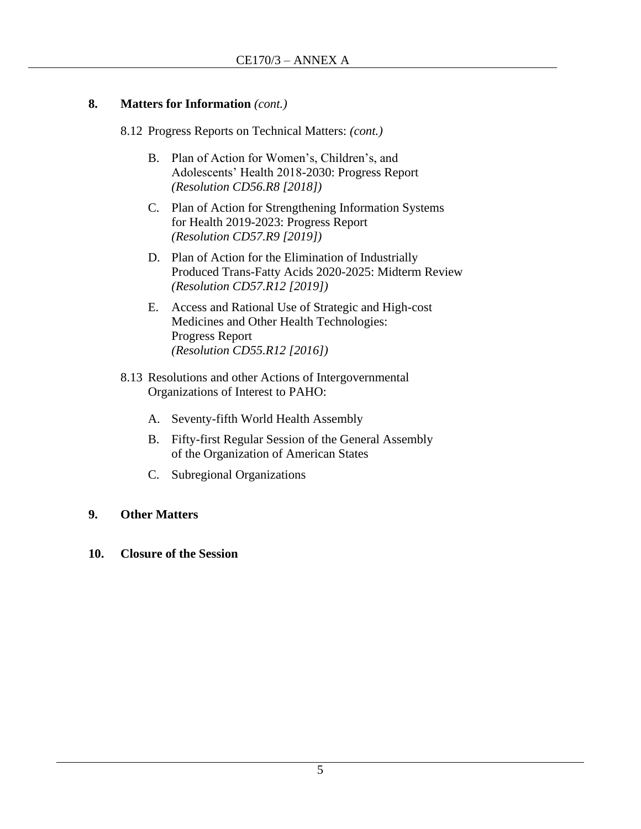## **8. Matters for Information** *(cont.)*

- 8.12 Progress Reports on Technical Matters: *(cont.)*
	- B. Plan of Action for Women's, Children's, and Adolescents' Health 2018-2030: Progress Report *(Resolution CD56.R8 [2018])*
	- C. Plan of Action for Strengthening Information Systems for Health 2019-2023: Progress Report *(Resolution CD57.R9 [2019])*
	- D. Plan of Action for the Elimination of Industrially Produced Trans-Fatty Acids 2020-2025: Midterm Review *(Resolution CD57.R12 [2019])*
	- E. Access and Rational Use of Strategic and High-cost Medicines and Other Health Technologies: Progress Report *(Resolution CD55.R12 [2016])*
- 8.13 Resolutions and other Actions of Intergovernmental Organizations of Interest to PAHO:
	- A. Seventy-fifth World Health Assembly
	- B. Fifty-first Regular Session of the General Assembly of the Organization of American States
	- C. Subregional Organizations

# **9. Other Matters**

**10. Closure of the Session**